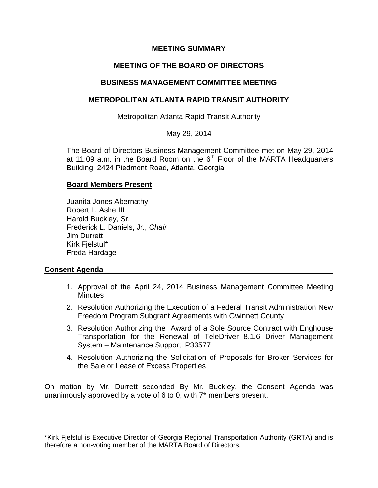## **MEETING SUMMARY**

# **MEETING OF THE BOARD OF DIRECTORS**

## **BUSINESS MANAGEMENT COMMITTEE MEETING**

## **METROPOLITAN ATLANTA RAPID TRANSIT AUTHORITY**

Metropolitan Atlanta Rapid Transit Authority

May 29, 2014

The Board of Directors Business Management Committee met on May 29, 2014 at 11:09 a.m. in the Board Room on the  $6<sup>th</sup>$  Floor of the MARTA Headquarters Building, 2424 Piedmont Road, Atlanta, Georgia.

### **Board Members Present**

Juanita Jones Abernathy Robert L. Ashe III Harold Buckley, Sr. Frederick L. Daniels, Jr., *Chair* Jim Durrett Kirk Fjelstul\* Freda Hardage

## **Consent Agenda**

- 1. Approval of the April 24, 2014 Business Management Committee Meeting **Minutes**
- 2. Resolution Authorizing the Execution of a Federal Transit Administration New Freedom Program Subgrant Agreements with Gwinnett County
- 3. Resolution Authorizing the Award of a Sole Source Contract with Enghouse Transportation for the Renewal of TeleDriver 8.1.6 Driver Management System – Maintenance Support, P33577
- 4. Resolution Authorizing the Solicitation of Proposals for Broker Services for the Sale or Lease of Excess Properties

On motion by Mr. Durrett seconded By Mr. Buckley, the Consent Agenda was unanimously approved by a vote of 6 to 0, with 7\* members present.

\*Kirk Fjelstul is Executive Director of Georgia Regional Transportation Authority (GRTA) and is therefore a non-voting member of the MARTA Board of Directors.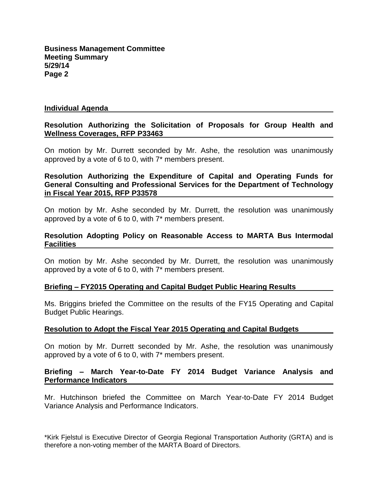**Business Management Committee Meeting Summary 5/29/14 Page 2**

#### **Individual Agenda**

#### **Resolution Authorizing the Solicitation of Proposals for Group Health and Wellness Coverages, RFP P33463**

On motion by Mr. Durrett seconded by Mr. Ashe, the resolution was unanimously approved by a vote of 6 to 0, with 7\* members present.

### **Resolution Authorizing the Expenditure of Capital and Operating Funds for General Consulting and Professional Services for the Department of Technology in Fiscal Year 2015, RFP P33578**

On motion by Mr. Ashe seconded by Mr. Durrett, the resolution was unanimously approved by a vote of 6 to 0, with 7\* members present.

#### **Resolution Adopting Policy on Reasonable Access to MARTA Bus Intermodal Facilities**

On motion by Mr. Ashe seconded by Mr. Durrett, the resolution was unanimously approved by a vote of 6 to 0, with 7\* members present.

#### **Briefing – FY2015 Operating and Capital Budget Public Hearing Results**

Ms. Briggins briefed the Committee on the results of the FY15 Operating and Capital Budget Public Hearings.

### **Resolution to Adopt the Fiscal Year 2015 Operating and Capital Budgets**

On motion by Mr. Durrett seconded by Mr. Ashe, the resolution was unanimously approved by a vote of 6 to 0, with 7\* members present.

### **Briefing – March Year-to-Date FY 2014 Budget Variance Analysis and Performance Indicators**

Mr. Hutchinson briefed the Committee on March Year-to-Date FY 2014 Budget Variance Analysis and Performance Indicators.

\*Kirk Fjelstul is Executive Director of Georgia Regional Transportation Authority (GRTA) and is therefore a non-voting member of the MARTA Board of Directors.